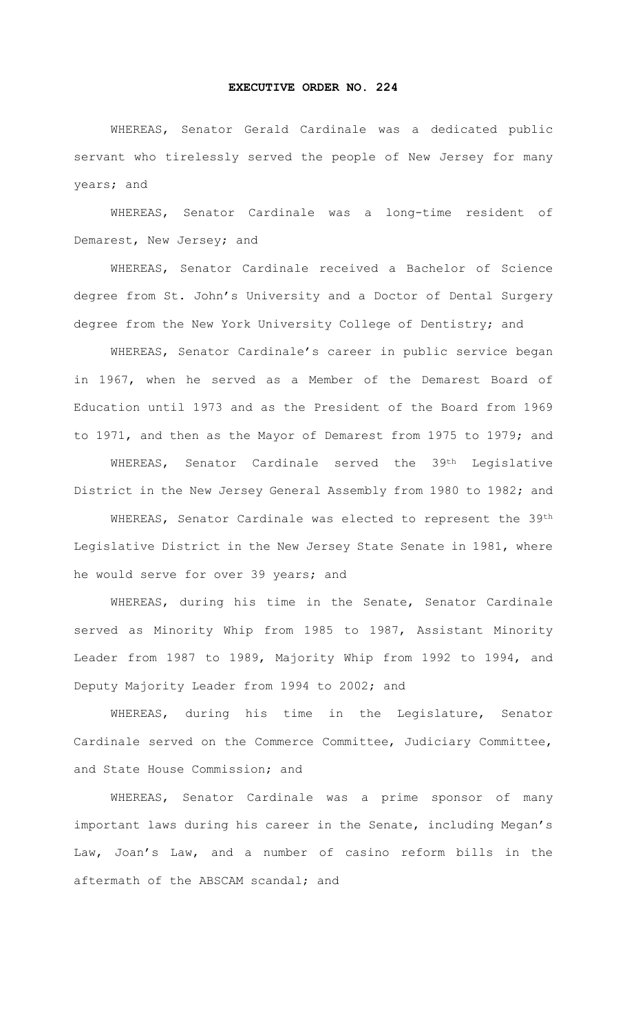## **EXECUTIVE ORDER NO. 224**

WHEREAS, Senator Gerald Cardinale was a dedicated public servant who tirelessly served the people of New Jersey for many years; and

WHEREAS, Senator Cardinale was a long-time resident of Demarest, New Jersey; and

WHEREAS, Senator Cardinale received a Bachelor of Science degree from St. John's University and a Doctor of Dental Surgery degree from the New York University College of Dentistry; and

WHEREAS, Senator Cardinale's career in public service began in 1967, when he served as a Member of the Demarest Board of Education until 1973 and as the President of the Board from 1969 to 1971, and then as the Mayor of Demarest from 1975 to 1979; and

WHEREAS, Senator Cardinale served the 39<sup>th</sup> Legislative District in the New Jersey General Assembly from 1980 to 1982; and

WHEREAS, Senator Cardinale was elected to represent the 39th Legislative District in the New Jersey State Senate in 1981, where he would serve for over 39 years; and

WHEREAS, during his time in the Senate, Senator Cardinale served as Minority Whip from 1985 to 1987, Assistant Minority Leader from 1987 to 1989, Majority Whip from 1992 to 1994, and Deputy Majority Leader from 1994 to 2002; and

WHEREAS, during his time in the Legislature, Senator Cardinale served on the Commerce Committee, Judiciary Committee, and State House Commission; and

WHEREAS, Senator Cardinale was a prime sponsor of many important laws during his career in the Senate, including Megan's Law, Joan's Law, and a number of casino reform bills in the aftermath of the ABSCAM scandal; and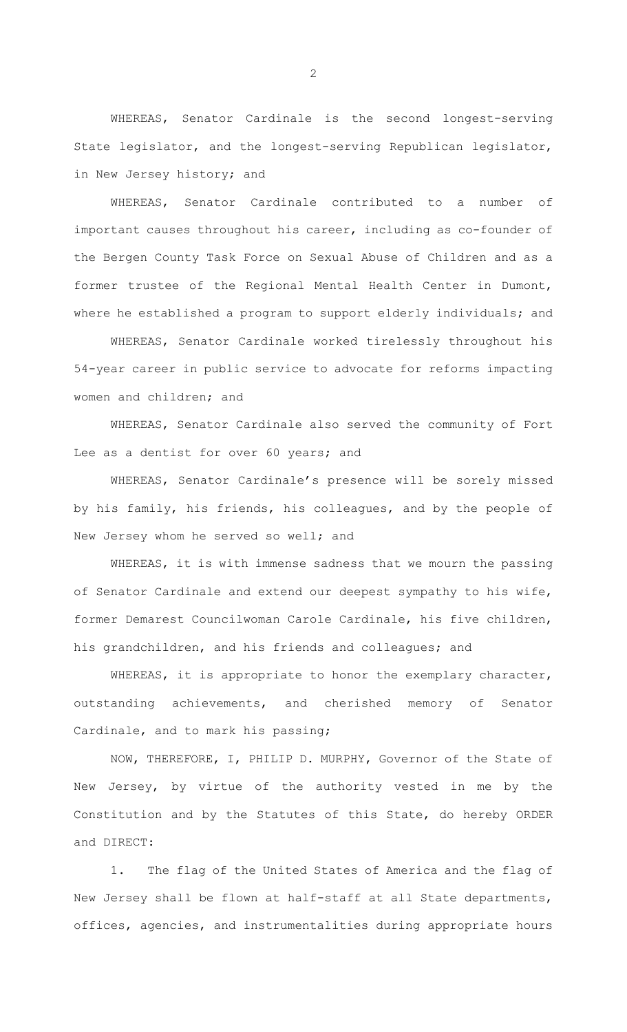WHEREAS, Senator Cardinale is the second longest-serving State legislator, and the longest-serving Republican legislator, in New Jersey history; and

WHEREAS, Senator Cardinale contributed to a number of important causes throughout his career, including as co-founder of the Bergen County Task Force on Sexual Abuse of Children and as a former trustee of the Regional Mental Health Center in Dumont, where he established a program to support elderly individuals; and

WHEREAS, Senator Cardinale worked tirelessly throughout his 54-year career in public service to advocate for reforms impacting women and children; and

WHEREAS, Senator Cardinale also served the community of Fort Lee as a dentist for over 60 years; and

WHEREAS, Senator Cardinale's presence will be sorely missed by his family, his friends, his colleagues, and by the people of New Jersey whom he served so well; and

WHEREAS, it is with immense sadness that we mourn the passing of Senator Cardinale and extend our deepest sympathy to his wife, former Demarest Councilwoman Carole Cardinale, his five children, his grandchildren, and his friends and colleagues; and

WHEREAS, it is appropriate to honor the exemplary character, outstanding achievements, and cherished memory of Senator Cardinale, and to mark his passing;

 NOW, THEREFORE, I, PHILIP D. MURPHY, Governor of the State of New Jersey, by virtue of the authority vested in me by the Constitution and by the Statutes of this State, do hereby ORDER and DIRECT:

1. The flag of the United States of America and the flag of New Jersey shall be flown at half-staff at all State departments, offices, agencies, and instrumentalities during appropriate hours

2